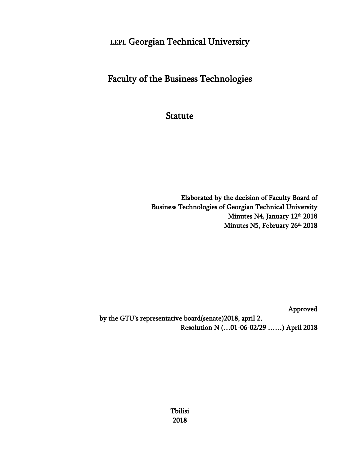# LEPL Georgian Technical University

# Faculty of the Business Technologies

**Statute** 

Elaborated by the decision of Faculty Board of Business Technologies of Georgian Technical University Minutes N4, January 12<sup>th</sup> 2018 Minutes N5, February 26th 2018

Approved

 by the GTU's representative board(senate)2018, april 2, Resolution N (…01-06-02/29 ……) April 2018

> Tbilisi 2018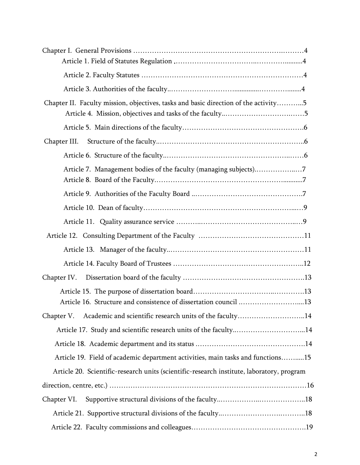| Chapter II. Faculty mission, objectives, tasks and basic direction of the activity5       |  |
|-------------------------------------------------------------------------------------------|--|
|                                                                                           |  |
|                                                                                           |  |
|                                                                                           |  |
| Article 7. Management bodies of the faculty (managing subjects)7                          |  |
|                                                                                           |  |
|                                                                                           |  |
|                                                                                           |  |
|                                                                                           |  |
|                                                                                           |  |
|                                                                                           |  |
| Chapter IV.                                                                               |  |
| Article 16. Structure and consistence of dissertation council 13                          |  |
| Chapter V. Academic and scientific research units of the faculty14                        |  |
| Article 17. Study and scientific research units of the faculty14                          |  |
|                                                                                           |  |
| Article 19. Field of academic department activities, main tasks and functions15           |  |
| Article 20. Scientific-research units (scientific-research institute, laboratory, program |  |
|                                                                                           |  |
| Chapter VI.                                                                               |  |
|                                                                                           |  |
|                                                                                           |  |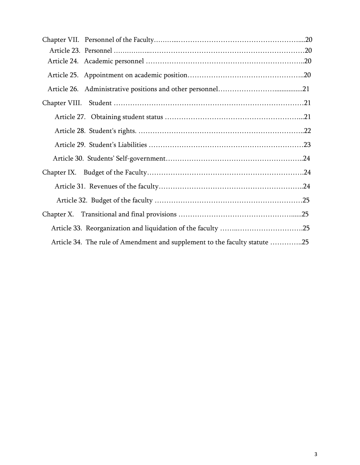| Article 34. The rule of Amendment and supplement to the faculty statute 25 |  |
|----------------------------------------------------------------------------|--|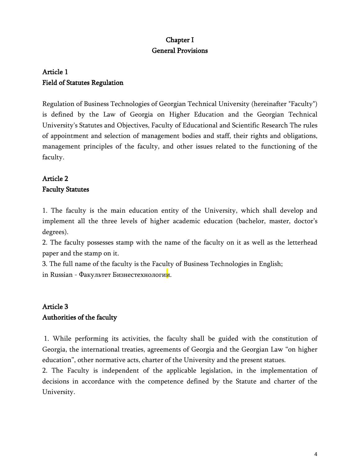# Chapter I General Provisions

# Article 1 Field of Statutes Regulation

Regulation of Business Technologies of Georgian Technical University (hereinafter "Faculty") is defined by the Law of Georgia on Higher Education and the Georgian Technical University's Statutes and Objectives, Faculty of Educational and Scientific Research The rules of appointment and selection of management bodies and staff, their rights and obligations, management principles of the faculty, and other issues related to the functioning of the faculty.

# Article 2 Faculty Statutes

1. The faculty is the main education entity of the University, which shall develop and implement all the three levels of higher academic education (bachelor, master, doctor's degrees).

2. The faculty possesses stamp with the name of the faculty on it as well as the letterhead paper and the stamp on it.

3. The full name of the faculty is the Faculty of Business Technologies in English;

in Russian - Факультет Бизнестехнологии.

# Article 3 Authorities of the faculty

1. While performing its activities, the faculty shall be guided with the constitution of Georgia, the international treaties, agreements of Georgia and the Georgian Law "on higher education", other normative acts, charter of the University and the present statues.

2. The Faculty is independent of the applicable legislation, in the implementation of decisions in accordance with the competence defined by the Statute and charter of the University.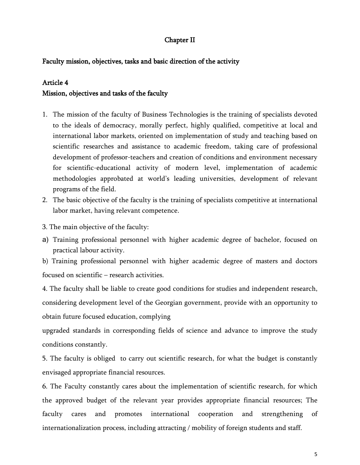# Chapter II

## Faculty mission, objectives, tasks and basic direction of the activity

## Article 4

## Mission, objectives and tasks of the faculty

- 1. The mission of the faculty of Business Technologies is the training of specialists devoted to the ideals of democracy, morally perfect, highly qualified, competitive at local and international labor markets, oriented on implementation of study and teaching based on scientific researches and assistance to academic freedom, taking care of professional development of professor-teachers and creation of conditions and environment necessary for scientific-educational activity of modern level, implementation of academic methodologies approbated at world's leading universities, development of relevant programs of the field.
- 2. The basic objective of the faculty is the training of specialists competitive at international labor market, having relevant competence.
- 3. The main objective of the faculty:
- a) Training professional personnel with higher academic degree of bachelor, focused on practical labour activity.

b) Training professional personnel with higher academic degree of masters and doctors focused on scientific – research activities.

4. The faculty shall be liable to create good conditions for studies and independent research, considering development level of the Georgian government, provide with an opportunity to obtain future focused education, complying

upgraded standards in corresponding fields of science and advance to improve the study conditions constantly.

5. The faculty is obliged to carry out scientific research, for what the budget is constantly envisaged appropriate financial resources.

6. The Faculty constantly cares about the implementation of scientific research, for which the approved budget of the relevant year provides appropriate financial resources; The faculty cares and promotes international cooperation and strengthening of internationalization process, including attracting / mobility of foreign students and staff.

5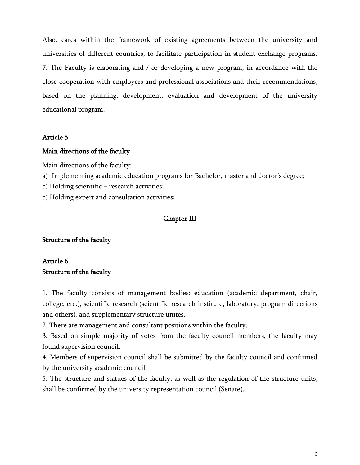Also, cares within the framework of existing agreements between the university and universities of different countries, to facilitate participation in student exchange programs. 7. The Faculty is elaborating and / or developing a new program, in accordance with the close cooperation with employers and professional associations and their recommendations, based on the planning, development, evaluation and development of the university educational program.

# Article 5

## Main directions of the faculty

Main directions of the faculty:

a) Implementing academic education programs for Bachelor, master and doctor's degree;

c) Holding scientific – research activities;

c) Holding expert and consultation activities;

### Chapter III

### Structure of the faculty

# Article 6 Structure of the faculty

1. The faculty consists of management bodies: education (academic department, chair, college, etc.), scientific research (scientific-research institute, laboratory, program directions and others), and supplementary structure unites.

2. There are management and consultant positions within the faculty.

3. Based on simple majority of votes from the faculty council members, the faculty may found supervision council.

4. Members of supervision council shall be submitted by the faculty council and confirmed by the university academic council.

5. The structure and statues of the faculty, as well as the regulation of the structure units, shall be confirmed by the university representation council (Senate).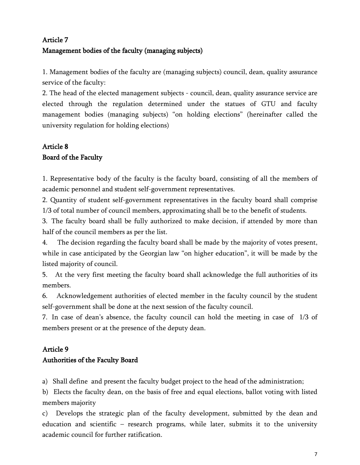# Article 7 Management bodies of the faculty (managing subjects)

1. Management bodies of the faculty are (managing subjects) council, dean, quality assurance service of the faculty:

2. The head of the elected management subjects - council, dean, quality assurance service are elected through the regulation determined under the statues of GTU and faculty management bodies (managing subjects) "on holding elections" (hereinafter called the university regulation for holding elections)

# Article 8 Board of the Faculty

1. Representative body of the faculty is the faculty board, consisting of all the members of academic personnel and student self-government representatives.

2. Quantity of student self-government representatives in the faculty board shall comprise 1/3 of total number of council members, approximating shall be to the benefit of students.

3. The faculty board shall be fully authorized to make decision, if attended by more than half of the council members as per the list.

4. The decision regarding the faculty board shall be made by the majority of votes present, while in case anticipated by the Georgian law "on higher education", it will be made by the listed majority of council.

5. At the very first meeting the faculty board shall acknowledge the full authorities of its members.

6. Acknowledgement authorities of elected member in the faculty council by the student self-government shall be done at the next session of the faculty council.

7. In case of dean's absence, the faculty council can hold the meeting in case of 1/3 of members present or at the presence of the deputy dean.

# Article 9

# Authorities of the Faculty Board

a) Shall define and present the faculty budget project to the head of the administration;

b) Elects the faculty dean, on the basis of free and equal elections, ballot voting with listed members majority

c) Develops the strategic plan of the faculty development, submitted by the dean and education and scientific – research programs, while later, submits it to the university academic council for further ratification.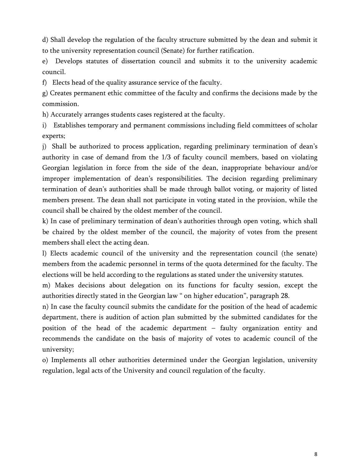d) Shall develop the regulation of the faculty structure submitted by the dean and submit it to the university representation council (Senate) for further ratification.

e) Develops statutes of dissertation council and submits it to the university academic council.

f) Elects head of the quality assurance service of the faculty.

g) Creates permanent ethic committee of the faculty and confirms the decisions made by the commission.

h) Accurately arranges students cases registered at the faculty.

i) Establishes temporary and permanent commissions including field committees of scholar experts;

j) Shall be authorized to process application, regarding preliminary termination of dean's authority in case of demand from the 1/3 of faculty council members, based on violating Georgian legislation in force from the side of the dean, inappropriate behaviour and/or improper implementation of dean's responsibilities. The decision regarding preliminary termination of dean's authorities shall be made through ballot voting, or majority of listed members present. The dean shall not participate in voting stated in the provision, while the council shall be chaired by the oldest member of the council.

k) In case of preliminary termination of dean's authorities through open voting, which shall be chaired by the oldest member of the council, the majority of votes from the present members shall elect the acting dean.

l) Elects academic council of the university and the representation council (the senate) members from the academic personnel in terms of the quota determined for the faculty. The elections will be held according to the regulations as stated under the university statutes.

m) Makes decisions about delegation on its functions for faculty session, except the authorities directly stated in the Georgian law " on higher education", paragraph 28.

n) In case the faculty council submits the candidate for the position of the head of academic department, there is audition of action plan submitted by the submitted candidates for the position of the head of the academic department – faulty organization entity and recommends the candidate on the basis of majority of votes to academic council of the university;

o) Implements all other authorities determined under the Georgian legislation, university regulation, legal acts of the University and council regulation of the faculty.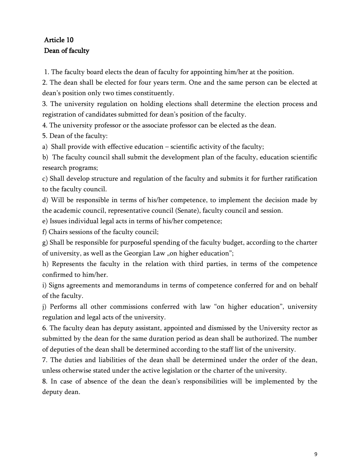# Article 10 Dean of faculty

1. The faculty board elects the dean of faculty for appointing him/her at the position.

2. The dean shall be elected for four years term. One and the same person can be elected at dean's position only two times constituently.

3. The university regulation on holding elections shall determine the election process and registration of candidates submitted for dean's position of the faculty.

4. The university professor or the associate professor can be elected as the dean.

5. Dean of the faculty:

a) Shall provide with effective education – scientific activity of the faculty;

b) The faculty council shall submit the development plan of the faculty, education scientific research programs;

c) Shall develop structure and regulation of the faculty and submits it for further ratification to the faculty council.

d) Will be responsible in terms of his/her competence, to implement the decision made by the academic council, representative council (Senate), faculty council and session.

e) Issues individual legal acts in terms of his/her competence;

f) Chairs sessions of the faculty council;

g) Shall be responsible for purposeful spending of the faculty budget, according to the charter of university, as well as the Georgian Law "on higher education";

h) Represents the faculty in the relation with third parties, in terms of the competence confirmed to him/her.

i) Signs agreements and memorandums in terms of competence conferred for and on behalf of the faculty.

j) Performs all other commissions conferred with law "on higher education", university regulation and legal acts of the university.

6. The faculty dean has deputy assistant, appointed and dismissed by the University rector as submitted by the dean for the same duration period as dean shall be authorized. The number of deputies of the dean shall be determined according to the staff list of the university.

7. The duties and liabilities of the dean shall be determined under the order of the dean, unless otherwise stated under the active legislation or the charter of the university.

8. In case of absence of the dean the dean's responsibilities will be implemented by the deputy dean.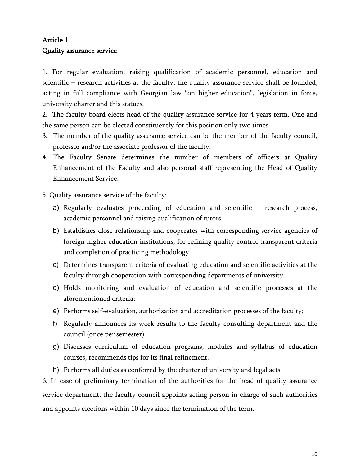# Article 11 Quality assurance service

1. For regular evaluation, raising qualification of academic personnel, education and scientific – research activities at the faculty, the quality assurance service shall be founded, acting in full compliance with Georgian law "on higher education", legislation in force, university charter and this statues.

2. The faculty board elects head of the quality assurance service for 4 years term. One and the same person can be elected constituently for this position only two times.

- 3. The member of the quality assurance service can be the member of the faculty council, professor and/or the associate professor of the faculty.
- 4. The Faculty Senate determines the number of members of officers at Quality Enhancement of the Faculty and also personal staff representing the Head of Quality Enhancement Service.

5. Quality assurance service of the faculty:

- a) Regularly evaluates proceeding of education and scientific research process, academic personnel and raising qualification of tutors.
- b) Establishes close relationship and cooperates with corresponding service agencies of foreign higher education institutions, for refining quality control transparent criteria and completion of practicing methodology.
- c) Determines transparent criteria of evaluating education and scientific activities at the faculty through cooperation with corresponding departments of university.
- d) Holds monitoring and evaluation of education and scientific processes at the aforementioned criteria;
- e) Performs self-evaluation, authorization and accreditation processes of the faculty;
- f) Regularly announces its work results to the faculty consulting department and the council (once per semester)
- g) Discusses curriculum of education programs, modules and syllabus of education courses, recommends tips for its final refinement.
- h) Performs all duties as conferred by the charter of university and legal acts.

6. In case of preliminary termination of the authorities for the head of quality assurance service department, the faculty council appoints acting person in charge of such authorities and appoints elections within 10 days since the termination of the term.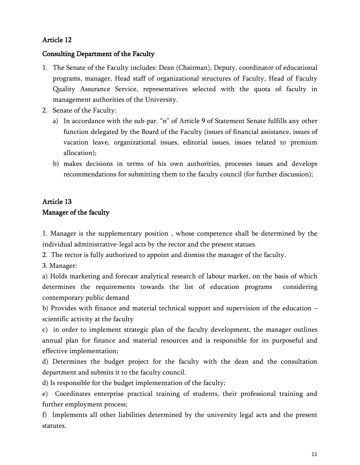# Consulting Department of the Faculty

- 1. The Senate of the Faculty includes: Dean (Chairman), Deputy, coordinator of educational programs, manager, Head staff of organizational structures of Faculty, Head of Faculty Quality Assurance Service, representatives selected with the quota of faculty in management authorities of the University.
- 2. Senate of the Faculty:
	- a) In accordance with the sub-par. "n" of Article 9 of Statement Senate fulfills any other function delegated by the Board of the Faculty (issues of financial assistance, issues of vacation leave, organizational issues, editorial issues, issues related to premium allocation);
	- b) makes decisions in terms of his own authorities, processes issues and develops recommendations for submitting them to the faculty council (for further discussion);

# Article 13 Manager of the faculty

1. Manager is the supplementary position , whose competence shall be determined by the individual administrative-legal acts by the rector and the present statues.

2. The rector is fully authorized to appoint and dismiss the manager of the faculty.

3. Manager:

a) Holds marketing and forecast analytical research of labour market, on the basis of which determines the requirements towards the list of education programs considering contemporary public demand

b) Provides with finance and material technical support and supervision of the education – scientific activity at the faculty

c) in order to implement strategic plan of the faculty development, the manager outlines annual plan for finance and material resources and is responsible for its purposeful and effective implementation;

d) Determines the budget project for the faculty with the dean and the consultation department and submits it to the faculty council.

d) Is responsible for the budget implementation of the faculty;

e) Coordinates enterprise practical training of students, their professional training and further employment process;

f) Implements all other liabilities determined by the university legal acts and the present statutes.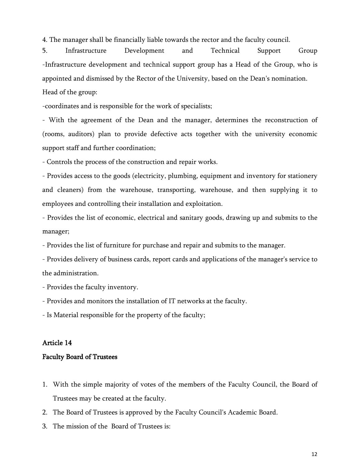4. The manager shall be financially liable towards the rector and the faculty council.

5. Infrastructure Development and Technical Support Group -Infrastructure development and technical support group has a Head of the Group, who is appointed and dismissed by the Rector of the University, based on the Dean's nomination.

Head of the group:

-coordinates and is responsible for the work of specialists;

- With the agreement of the Dean and the manager, determines the reconstruction of (rooms, auditors) plan to provide defective acts together with the university economic support staff and further coordination;

- Controls the process of the construction and repair works.

- Provides access to the goods (electricity, plumbing, equipment and inventory for stationery and cleaners) from the warehouse, transporting, warehouse, and then supplying it to employees and controlling their installation and exploitation.

- Provides the list of economic, electrical and sanitary goods, drawing up and submits to the manager;

- Provides the list of furniture for purchase and repair and submits to the manager.

- Provides delivery of business cards, report cards and applications of the manager's service to the administration.

- Provides the faculty inventory.

- Provides and monitors the installation of IT networks at the faculty.

- Is Material responsible for the property of the faculty;

## Article 14

### Faculty Board of Trustees

- 1. With the simple majority of votes of the members of the Faculty Council, the Board of Trustees may be created at the faculty.
- 2. The Board of Trustees is approved by the Faculty Council's Academic Board.
- 3. The mission of the Board of Trustees is: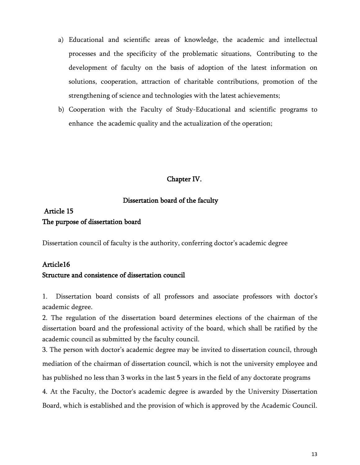- a) Educational and scientific areas of knowledge, the academic and intellectual processes and the specificity of the problematic situations, Contributing to the development of faculty on the basis of adoption of the latest information on solutions, cooperation, attraction of charitable contributions, promotion of the strengthening of science and technologies with the latest achievements;
- b) Cooperation with the Faculty of Study-Educational and scientific programs to enhance the academic quality and the actualization of the operation;

## Chapter IV.

### Dissertation board of the faculty

# Article 15 The purpose of dissertation board

Dissertation council of faculty is the authority, conferring doctor's academic degree

### Article16

## Structure and consistence of dissertation council

1. Dissertation board consists of all professors and associate professors with doctor's academic degree.

2. The regulation of the dissertation board determines elections of the chairman of the dissertation board and the professional activity of the board, which shall be ratified by the academic council as submitted by the faculty council.

3. The person with doctor's academic degree may be invited to dissertation council, through mediation of the chairman of dissertation council, which is not the university employee and has published no less than 3 works in the last 5 years in the field of any doctorate programs

4. At the Faculty, the Doctor's academic degree is awarded by the University Dissertation Board, which is established and the provision of which is approved by the Academic Council.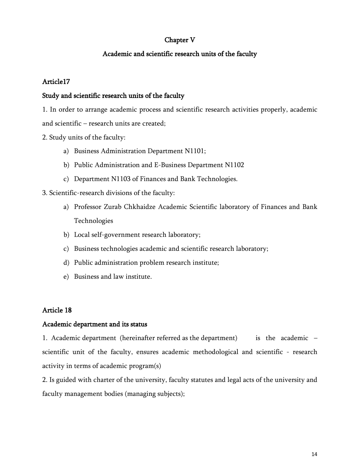# Chapter V

# Academic and scientific research units of the faculty

# Article17

# Study and scientific research units of the faculty

1. In order to arrange academic process and scientific research activities properly, academic and scientific – research units are created;

2. Study units of the faculty:

- a) Business Administration Department N1101;
- b) Public Administration and E-Business Department N1102
- c) Department N1103 of Finances and Bank Technologies.

3. Scientific-research divisions of the faculty:

- a) Professor Zurab Chkhaidze Academic Scientific laboratory of Finances and Bank Technologies
- b) Local self-government research laboratory;
- c) Business technologies academic and scientific research laboratory;
- d) Public administration problem research institute;
- e) Business and law institute.

# Article 18

### Academic department and its status

1. Academic department (hereinafter referred as the department) is the academic – scientific unit of the faculty, ensures academic methodological and scientific - research activity in terms of academic program(s)

2. Is guided with charter of the university, faculty statutes and legal acts of the university and faculty management bodies (managing subjects);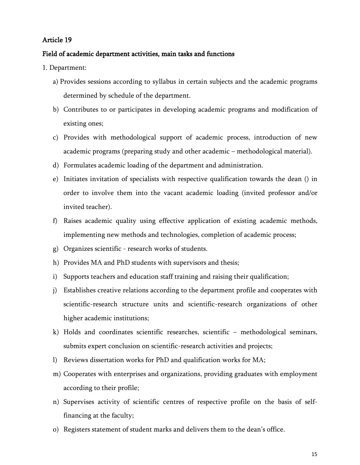#### Field of academic department activities, main tasks and functions

- 1. Department:
	- a) Provides sessions according to syllabus in certain subjects and the academic programs determined by schedule of the department.
	- b) Contributes to or participates in developing academic programs and modification of existing ones;
	- c) Provides with methodological support of academic process, introduction of new academic programs (preparing study and other academic – methodological material).
	- d) Formulates academic loading of the department and administration.
	- e) Initiates invitation of specialists with respective qualification towards the dean () in order to involve them into the vacant academic loading (invited professor and/or invited teacher).
	- f) Raises academic quality using effective application of existing academic methods, implementing new methods and technologies, completion of academic process;
	- g) Organizes scientific research works of students.
	- h) Provides MA and PhD students with supervisors and thesis;
	- i) Supports teachers and education staff training and raising their qualification;
	- j) Establishes creative relations according to the department profile and cooperates with scientific-research structure units and scientific-research organizations of other higher academic institutions;
	- k) Holds and coordinates scientific researches, scientific methodological seminars, submits expert conclusion on scientific-research activities and projects;
	- l) Reviews dissertation works for PhD and qualification works for MA;
	- m) Cooperates with enterprises and organizations, providing graduates with employment according to their profile;
	- n) Supervises activity of scientific centres of respective profile on the basis of selffinancing at the faculty;
	- o) Registers statement of student marks and delivers them to the dean's office.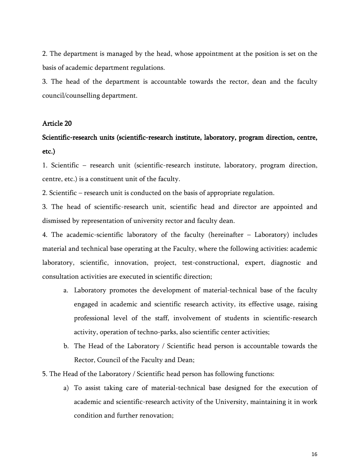2. The department is managed by the head, whose appointment at the position is set on the basis of academic department regulations.

3. The head of the department is accountable towards the rector, dean and the faculty council/counselling department.

#### Article 20

# Scientific-research units (scientific-research institute, laboratory, program direction, centre, etc.)

1. Scientific – research unit (scientific-research institute, laboratory, program direction, centre, etc.) is a constituent unit of the faculty.

2. Scientific – research unit is conducted on the basis of appropriate regulation.

3. The head of scientific-research unit, scientific head and director are appointed and dismissed by representation of university rector and faculty dean.

4. The academic-scientific laboratory of the faculty (hereinafter – Laboratory) includes material and technical base operating at the Faculty, where the following activities: academic laboratory, scientific, innovation, project, test-constructional, expert, diagnostic and consultation activities are executed in scientific direction;

- a. Laboratory promotes the development of material-technical base of the faculty engaged in academic and scientific research activity, its effective usage, raising professional level of the staff, involvement of students in scientific-research activity, operation of techno-parks, also scientific center activities;
- b. The Head of the Laboratory / Scientific head person is accountable towards the Rector, Council of the Faculty and Dean;
- 5. The Head of the Laboratory / Scientific head person has following functions:
	- a) To assist taking care of material-technical base designed for the execution of academic and scientific-research activity of the University, maintaining it in work condition and further renovation;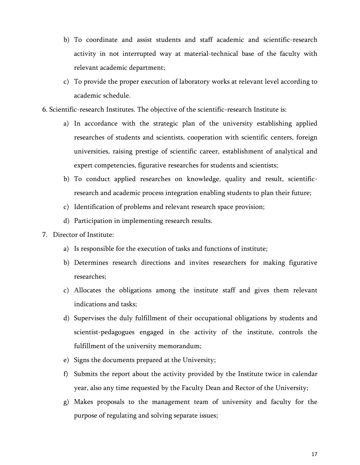- b) To coordinate and assist students and staff academic and scientific-research activity in not interrupted way at material-technical base of the faculty with relevant academic department;
- c) To provide the proper execution of laboratory works at relevant level according to academic schedule.
- 6. Scientific-research Institutes. The objective of the scientific-research Institute is:
	- a) In accordance with the strategic plan of the university establishing applied researches of students and scientists, cooperation with scientific centers, foreign universities, raising prestige of scientific career, establishment of analytical and expert competencies, figurative researches for students and scientists;
	- b) To conduct applied researches on knowledge, quality and result, scientificresearch and academic process integration enabling students to plan their future;
	- c) Identification of problems and relevant research space provision;
	- d) Participation in implementing research results.
- 7. Director of Institute:
	- a) Is responsible for the execution of tasks and functions of institute;
	- b) Determines research directions and invites researchers for making figurative researches;
	- c) Allocates the obligations among the institute staff and gives them relevant indications and tasks;
	- d) Supervises the duly fulfillment of their occupational obligations by students and scientist-pedagogues engaged in the activity of the institute, controls the fulfillment of the university memorandum;
	- e) Signs the documents prepared at the University;
	- f) Submits the report about the activity provided by the Institute twice in calendar year, also any time requested by the Faculty Dean and Rector of the University;
	- g) Makes proposals to the management team of university and faculty for the purpose of regulating and solving separate issues;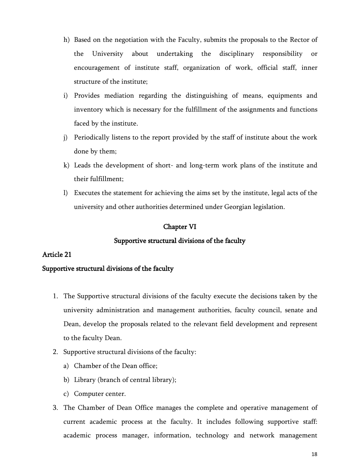- h) Based on the negotiation with the Faculty, submits the proposals to the Rector of the University about undertaking the disciplinary responsibility or encouragement of institute staff, organization of work, official staff, inner structure of the institute;
- i) Provides mediation regarding the distinguishing of means, equipments and inventory which is necessary for the fulfillment of the assignments and functions faced by the institute.
- j) Periodically listens to the report provided by the staff of institute about the work done by them;
- k) Leads the development of short- and long-term work plans of the institute and their fulfillment;
- l) Executes the statement for achieving the aims set by the institute, legal acts of the university and other authorities determined under Georgian legislation.

### Chapter VI

#### Supportive structural divisions of the faculty

#### Article 21

#### Supportive structural divisions of the faculty

- 1. The Supportive structural divisions of the faculty execute the decisions taken by the university administration and management authorities, faculty council, senate and Dean, develop the proposals related to the relevant field development and represent to the faculty Dean.
- 2. Supportive structural divisions of the faculty:
	- a) Chamber of the Dean office;
	- b) Library (branch of central library);
	- c) Computer center.
- 3. The Chamber of Dean Office manages the complete and operative management of current academic process at the faculty. It includes following supportive staff: academic process manager, information, technology and network management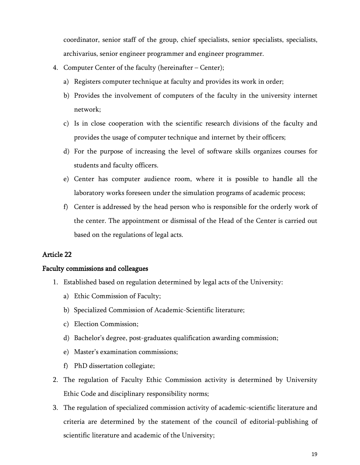coordinator, senior staff of the group, chief specialists, senior specialists, specialists, archivarius, senior engineer programmer and engineer programmer.

- 4. Computer Center of the faculty (hereinafter Center);
	- a) Registers computer technique at faculty and provides its work in order;
	- b) Provides the involvement of computers of the faculty in the university internet network;
	- c) Is in close cooperation with the scientific research divisions of the faculty and provides the usage of computer technique and internet by their officers;
	- d) For the purpose of increasing the level of software skills organizes courses for students and faculty officers.
	- e) Center has computer audience room, where it is possible to handle all the laboratory works foreseen under the simulation programs of academic process;
	- f) Center is addressed by the head person who is responsible for the orderly work of the center. The appointment or dismissal of the Head of the Center is carried out based on the regulations of legal acts.

# Article 22

### Faculty commissions and colleagues

- 1. Established based on regulation determined by legal acts of the University:
	- a) Ethic Commission of Faculty;
	- b) Specialized Commission of Academic-Scientific literature;
	- c) Election Commission;
	- d) Bachelor's degree, post-graduates qualification awarding commission;
	- e) Master's examination commissions;
	- f) PhD dissertation collegiate;
- 2. The regulation of Faculty Ethic Commission activity is determined by University Ethic Code and disciplinary responsibility norms;
- 3. The regulation of specialized commission activity of academic-scientific literature and criteria are determined by the statement of the council of editorial-publishing of scientific literature and academic of the University;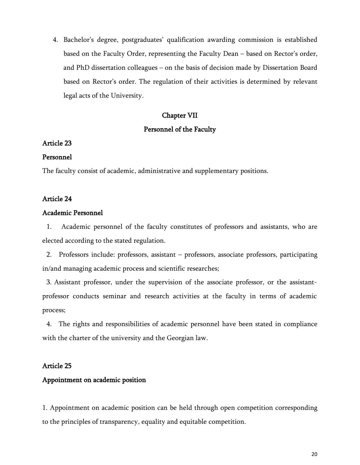4. Bachelor's degree, postgraduates' qualification awarding commission is established based on the Faculty Order, representing the Faculty Dean – based on Rector's order, and PhD dissertation colleagues – on the basis of decision made by Dissertation Board based on Rector's order. The regulation of their activities is determined by relevant legal acts of the University.

# Chapter VII

# Personnel of the Faculty

# Article 23

# Personnel

The faculty consist of academic, administrative and supplementary positions.

# Article 24

# Academic Personnel

1. Academic personnel of the faculty constitutes of professors and assistants, who are elected according to the stated regulation.

2. Professors include: professors, assistant – professors, associate professors, participating in/and managing academic process and scientific researches;

3. Assistant professor, under the supervision of the associate professor, or the assistantprofessor conducts seminar and research activities at the faculty in terms of academic process;

4. The rights and responsibilities of academic personnel have been stated in compliance with the charter of the university and the Georgian law.

# Article 25

# Appointment on academic position

1. Appointment on academic position can be held through open competition corresponding to the principles of transparency, equality and equitable competition.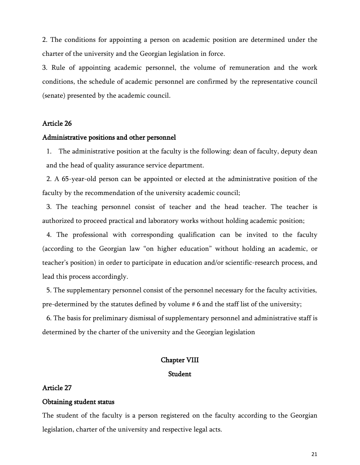2. The conditions for appointing a person on academic position are determined under the charter of the university and the Georgian legislation in force.

3. Rule of appointing academic personnel, the volume of remuneration and the work conditions, the schedule of academic personnel are confirmed by the representative council (senate) presented by the academic council.

#### Article 26

#### Administrative positions and other personnel

1. The administrative position at the faculty is the following: dean of faculty, deputy dean and the head of quality assurance service department.

2. A 65-year-old person can be appointed or elected at the administrative position of the faculty by the recommendation of the university academic council;

3. The teaching personnel consist of teacher and the head teacher. The teacher is authorized to proceed practical and laboratory works without holding academic position;

4. The professional with corresponding qualification can be invited to the faculty (according to the Georgian law "on higher education" without holding an academic, or teacher's position) in order to participate in education and/or scientific-research process, and lead this process accordingly.

5. The supplementary personnel consist of the personnel necessary for the faculty activities, pre-determined by the statutes defined by volume # 6 and the staff list of the university;

6. The basis for preliminary dismissal of supplementary personnel and administrative staff is determined by the charter of the university and the Georgian legislation

#### Chapter VIII

#### Student

#### Article 27

#### Obtaining student status

The student of the faculty is a person registered on the faculty according to the Georgian legislation, charter of the university and respective legal acts.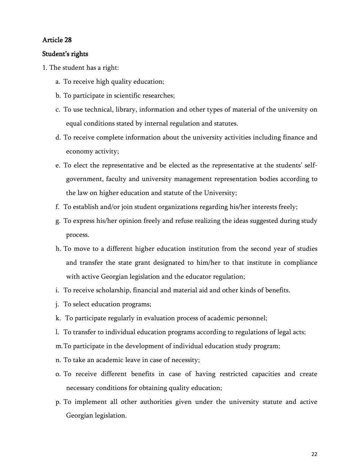### Student's rights

- 1. The student has a right:
	- a. To receive high quality education;
	- b. To participate in scientific researches;
	- c. To use technical, library, information and other types of material of the university on equal conditions stated by internal regulation and statutes.
	- d. To receive complete information about the university activities including finance and economy activity;
	- e. To elect the representative and be elected as the representative at the students' selfgovernment, faculty and university management representation bodies according to the law on higher education and statute of the University;
	- f. To establish and/or join student organizations regarding his/her interests freely;
	- g. To express his/her opinion freely and refuse realizing the ideas suggested during study process.
	- h. To move to a different higher education institution from the second year of studies and transfer the state grant designated to him/her to that institute in compliance with active Georgian legislation and the educator regulation;
	- i. To receive scholarship, financial and material aid and other kinds of benefits.
	- j. To select education programs;
	- k. To participate regularly in evaluation process of academic personnel;
	- l. To transfer to individual education programs according to regulations of legal acts;
	- m.To participate in the development of individual education study program;
	- n. To take an academic leave in case of necessity;
	- o. To receive different benefits in case of having restricted capacities and create necessary conditions for obtaining quality education;
	- p. To implement all other authorities given under the university statute and active Georgian legislation.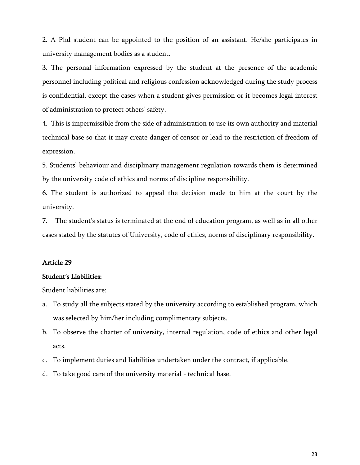2. A Phd student can be appointed to the position of an assistant. He/she participates in university management bodies as a student.

3. The personal information expressed by the student at the presence of the academic personnel including political and religious confession acknowledged during the study process is confidential, except the cases when a student gives permission or it becomes legal interest of administration to protect others' safety.

4. This is impermissible from the side of administration to use its own authority and material technical base so that it may create danger of censor or lead to the restriction of freedom of expression.

5. Students' behaviour and disciplinary management regulation towards them is determined by the university code of ethics and norms of discipline responsibility.

6. The student is authorized to appeal the decision made to him at the court by the university.

7. The student's status is terminated at the end of education program, as well as in all other cases stated by the statutes of University, code of ethics, norms of disciplinary responsibility.

### Article 29

#### Student's Liabilities:

Student liabilities are:

- a. To study all the subjects stated by the university according to established program, which was selected by him/her including complimentary subjects.
- b. To observe the charter of university, internal regulation, code of ethics and other legal acts.
- c. To implement duties and liabilities undertaken under the contract, if applicable.
- d. To take good care of the university material technical base.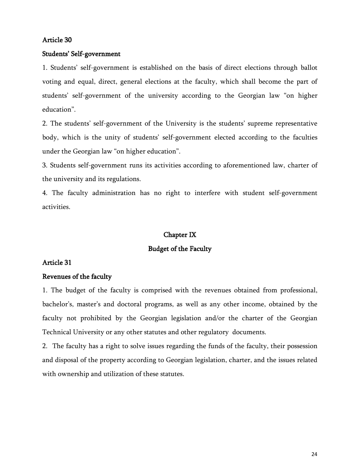#### Students' Self-government

1. Students' self-government is established on the basis of direct elections through ballot voting and equal, direct, general elections at the faculty, which shall become the part of students' self-government of the university according to the Georgian law "on higher education".

2. The students' self-government of the University is the students' supreme representative body, which is the unity of students' self-government elected according to the faculties under the Georgian law "on higher education".

3. Students self-government runs its activities according to aforementioned law, charter of the university and its regulations.

4. The faculty administration has no right to interfere with student self-government activities.

#### Chapter IX

### Budget of the Faculty

### Article 31

#### Revenues of the faculty

1. The budget of the faculty is comprised with the revenues obtained from professional, bachelor's, master's and doctoral programs, as well as any other income, obtained by the faculty not prohibited by the Georgian legislation and/or the charter of the Georgian Technical University or any other statutes and other regulatory documents.

2. The faculty has a right to solve issues regarding the funds of the faculty, their possession and disposal of the property according to Georgian legislation, charter, and the issues related with ownership and utilization of these statutes.